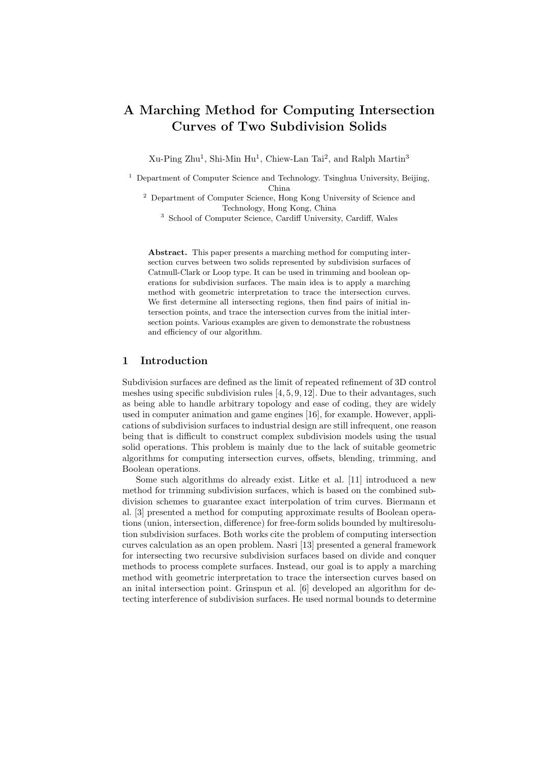# A Marching Method for Computing Intersection Curves of Two Subdivision Solids

Xu-Ping Zhu<sup>1</sup>, Shi-Min Hu<sup>1</sup>, Chiew-Lan Tai<sup>2</sup>, and Ralph Martin<sup>3</sup>

<sup>1</sup> Department of Computer Science and Technology. Tsinghua University, Beijing, China

 $^{\rm 2}$  Department of Computer Science, Hong Kong University of Science and Technology, Hong Kong, China

<sup>3</sup> School of Computer Science, Cardiff University, Cardiff, Wales

Abstract. This paper presents a marching method for computing intersection curves between two solids represented by subdivision surfaces of Catmull-Clark or Loop type. It can be used in trimming and boolean operations for subdivision surfaces. The main idea is to apply a marching method with geometric interpretation to trace the intersection curves. We first determine all intersecting regions, then find pairs of initial intersection points, and trace the intersection curves from the initial intersection points. Various examples are given to demonstrate the robustness and efficiency of our algorithm.

# 1 Introduction

Subdivision surfaces are defined as the limit of repeated refinement of 3D control meshes using specific subdivision rules [4, 5, 9, 12]. Due to their advantages, such as being able to handle arbitrary topology and ease of coding, they are widely used in computer animation and game engines [16], for example. However, applications of subdivision surfaces to industrial design are still infrequent, one reason being that is difficult to construct complex subdivision models using the usual solid operations. This problem is mainly due to the lack of suitable geometric algorithms for computing intersection curves, offsets, blending, trimming, and Boolean operations.

Some such algorithms do already exist. Litke et al. [11] introduced a new method for trimming subdivision surfaces, which is based on the combined subdivision schemes to guarantee exact interpolation of trim curves. Biermann et al. [3] presented a method for computing approximate results of Boolean operations (union, intersection, difference) for free-form solids bounded by multiresolution subdivision surfaces. Both works cite the problem of computing intersection curves calculation as an open problem. Nasri [13] presented a general framework for intersecting two recursive subdivision surfaces based on divide and conquer methods to process complete surfaces. Instead, our goal is to apply a marching method with geometric interpretation to trace the intersection curves based on an inital intersection point. Grinspun et al. [6] developed an algorithm for detecting interference of subdivision surfaces. He used normal bounds to determine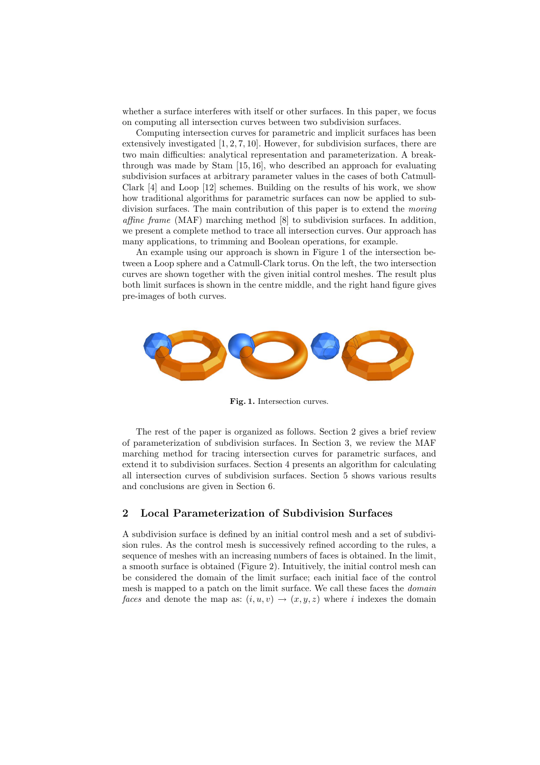whether a surface interferes with itself or other surfaces. In this paper, we focus on computing all intersection curves between two subdivision surfaces.

Computing intersection curves for parametric and implicit surfaces has been extensively investigated [1, 2, 7, 10]. However, for subdivision surfaces, there are two main difficulties: analytical representation and parameterization. A breakthrough was made by Stam [15, 16], who described an approach for evaluating subdivision surfaces at arbitrary parameter values in the cases of both Catmull-Clark [4] and Loop [12] schemes. Building on the results of his work, we show how traditional algorithms for parametric surfaces can now be applied to subdivision surfaces. The main contribution of this paper is to extend the moving affine frame (MAF) marching method [8] to subdivision surfaces. In addition, we present a complete method to trace all intersection curves. Our approach has many applications, to trimming and Boolean operations, for example.

An example using our approach is shown in Figure 1 of the intersection between a Loop sphere and a Catmull-Clark torus. On the left, the two intersection curves are shown together with the given initial control meshes. The result plus both limit surfaces is shown in the centre middle, and the right hand figure gives pre-images of both curves.



Fig. 1. Intersection curves.

The rest of the paper is organized as follows. Section 2 gives a brief review of parameterization of subdivision surfaces. In Section 3, we review the MAF marching method for tracing intersection curves for parametric surfaces, and extend it to subdivision surfaces. Section 4 presents an algorithm for calculating all intersection curves of subdivision surfaces. Section 5 shows various results and conclusions are given in Section 6.

# 2 Local Parameterization of Subdivision Surfaces

A subdivision surface is defined by an initial control mesh and a set of subdivision rules. As the control mesh is successively refined according to the rules, a sequence of meshes with an increasing numbers of faces is obtained. In the limit, a smooth surface is obtained (Figure 2). Intuitively, the initial control mesh can be considered the domain of the limit surface; each initial face of the control mesh is mapped to a patch on the limit surface. We call these faces the *domain* faces and denote the map as:  $(i, u, v) \rightarrow (x, y, z)$  where i indexes the domain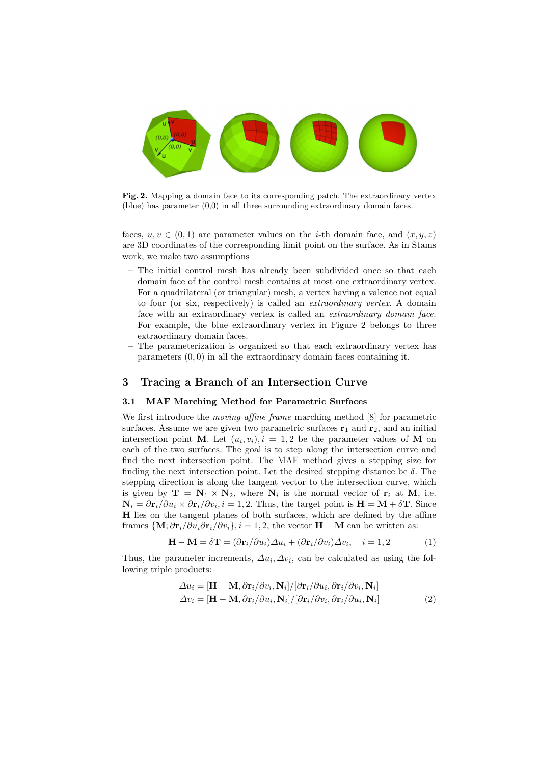

Fig. 2. Mapping a domain face to its corresponding patch. The extraordinary vertex (blue) has parameter (0,0) in all three surrounding extraordinary domain faces.

faces,  $u, v \in (0, 1)$  are parameter values on the *i*-th domain face, and  $(x, y, z)$ are 3D coordinates of the corresponding limit point on the surface. As in Stams work, we make two assumptions

- The initial control mesh has already been subdivided once so that each domain face of the control mesh contains at most one extraordinary vertex. For a quadrilateral (or triangular) mesh, a vertex having a valence not equal to four (or six, respectively) is called an extraordinary vertex. A domain face with an extraordinary vertex is called an extraordinary domain face. For example, the blue extraordinary vertex in Figure 2 belongs to three extraordinary domain faces.
- The parameterization is organized so that each extraordinary vertex has parameters (0, 0) in all the extraordinary domain faces containing it.

# 3 Tracing a Branch of an Intersection Curve

## 3.1 MAF Marching Method for Parametric Surfaces

We first introduce the *moving affine frame* marching method [8] for parametric surfaces. Assume we are given two parametric surfaces  $r_1$  and  $r_2$ , and an initial intersection point M. Let  $(u_i, v_i)$ ,  $i = 1, 2$  be the parameter values of M on each of the two surfaces. The goal is to step along the intersection curve and find the next intersection point. The MAF method gives a stepping size for finding the next intersection point. Let the desired stepping distance be  $\delta$ . The stepping direction is along the tangent vector to the intersection curve, which is given by  $\mathbf{T} = \mathbf{N}_1 \times \mathbf{N}_2$ , where  $\mathbf{N}_i$  is the normal vector of  $\mathbf{r}_i$  at  $\mathbf{M}_i$ , i.e.  $\mathbf{N}_i = \frac{\partial \mathbf{r}_i}{\partial u_i} \times \frac{\partial \mathbf{r}_i}{\partial v_i}$ ,  $i = 1, 2$ . Thus, the target point is  $\mathbf{H} = \mathbf{M} + \delta \mathbf{T}$ . Since H lies on the tangent planes of both surfaces, which are defined by the affine frames  $\{M; \partial \mathbf{r}_i/\partial u_i \partial \mathbf{r}_i/\partial v_i\}$ ,  $i = 1, 2$ , the vector  $H - M$  can be written as:

$$
\mathbf{H} - \mathbf{M} = \delta \mathbf{T} = (\partial \mathbf{r}_i / \partial u_i) \Delta u_i + (\partial \mathbf{r}_i / \partial v_i) \Delta v_i, \quad i = 1, 2 \tag{1}
$$

Thus, the parameter increments,  $\Delta u_i, \Delta v_i$ , can be calculated as using the following triple products:

$$
\Delta u_i = [\mathbf{H} - \mathbf{M}, \partial \mathbf{r}_i / \partial v_i, \mathbf{N}_i] / [\partial \mathbf{r}_i / \partial u_i, \partial \mathbf{r}_i / \partial v_i, \mathbf{N}_i]
$$
  
\n
$$
\Delta v_i = [\mathbf{H} - \mathbf{M}, \partial \mathbf{r}_i / \partial u_i, \mathbf{N}_i] / [\partial \mathbf{r}_i / \partial v_i, \partial \mathbf{r}_i / \partial u_i, \mathbf{N}_i]
$$
\n(2)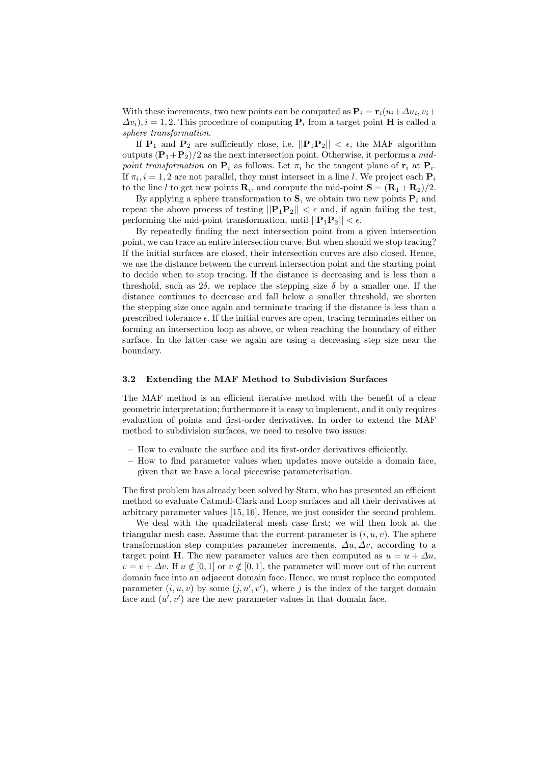With these increments, two new points can be computed as  $\mathbf{P}_i = \mathbf{r}_i(u_i + \Delta u_i, v_i + \Delta u_i)$  $\Delta v_i$ ,  $i = 1, 2$ . This procedure of computing  $P_i$  from a target point **H** is called a sphere transformation.

If  $P_1$  and  $P_2$  are sufficiently close, i.e.  $||P_1P_2|| < \epsilon$ , the MAF algorithm outputs  $(\mathbf{P}_1+\mathbf{P}_2)/2$  as the next intersection point. Otherwise, it performs a midpoint transformation on  $P_i$  as follows. Let  $\pi_i$  be the tangent plane of  $r_i$  at  $P_i$ . If  $\pi_i$ ,  $i = 1, 2$  are not parallel, they must intersect in a line l. We project each  $P_i$ to the line l to get new points  $\mathbf{R}_i$ , and compute the mid-point  $\mathbf{S} = (\mathbf{R}_1 + \mathbf{R}_2)/2$ .

By applying a sphere transformation to S, we obtain two new points  $P_i$  and repeat the above process of testing  $||\mathbf{P}_1\mathbf{P}_2|| < \epsilon$  and, if again failing the test, performing the mid-point transformation, until  $||\mathbf{P}_1\mathbf{P}_2|| < \epsilon$ .

By repeatedly finding the next intersection point from a given intersection point, we can trace an entire intersection curve. But when should we stop tracing? If the initial surfaces are closed, their intersection curves are also closed. Hence, we use the distance between the current intersection point and the starting point to decide when to stop tracing. If the distance is decreasing and is less than a threshold, such as  $2\delta$ , we replace the stepping size  $\delta$  by a smaller one. If the distance continues to decrease and fall below a smaller threshold, we shorten the stepping size once again and terminate tracing if the distance is less than a prescribed tolerance  $\epsilon$ . If the initial curves are open, tracing terminates either on forming an intersection loop as above, or when reaching the boundary of either surface. In the latter case we again are using a decreasing step size near the boundary.

#### 3.2 Extending the MAF Method to Subdivision Surfaces

The MAF method is an efficient iterative method with the benefit of a clear geometric interpretation; furthermore it is easy to implement, and it only requires evaluation of points and first-order derivatives. In order to extend the MAF method to subdivision surfaces, we need to resolve two issues:

- How to evaluate the surface and its first-order derivatives efficiently.
- How to find parameter values when updates move outside a domain face, given that we have a local piecewise parameterisation.

The first problem has already been solved by Stam, who has presented an efficient method to evaluate Catmull-Clark and Loop surfaces and all their derivatives at arbitrary parameter values [15, 16]. Hence, we just consider the second problem.

We deal with the quadrilateral mesh case first; we will then look at the triangular mesh case. Assume that the current parameter is  $(i, u, v)$ . The sphere transformation step computes parameter increments,  $\Delta u, \Delta v$ , according to a target point H. The new parameter values are then computed as  $u = u + \Delta u$ .  $v = v + \Delta v$ . If  $u \notin [0, 1]$  or  $v \notin [0, 1]$ , the parameter will move out of the current domain face into an adjacent domain face. Hence, we must replace the computed parameter  $(i, u, v)$  by some  $(j, u', v')$ , where j is the index of the target domain face and  $(u', v')$  are the new parameter values in that domain face.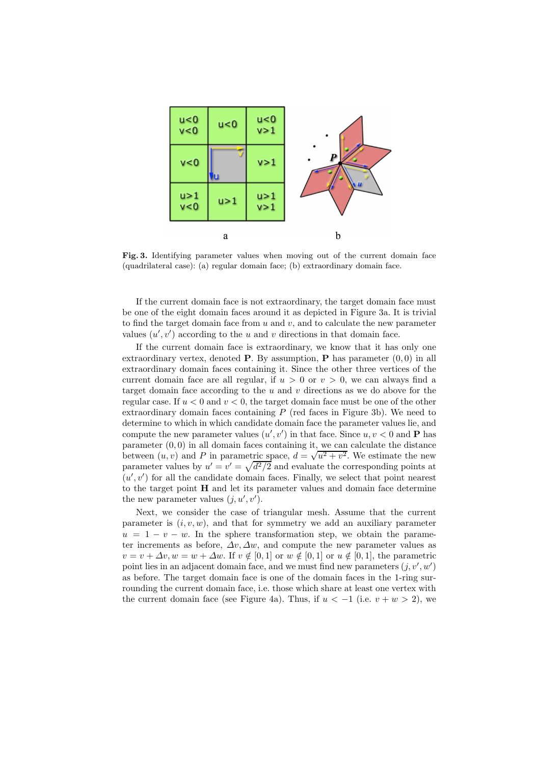

Fig. 3. Identifying parameter values when moving out of the current domain face (quadrilateral case): (a) regular domain face; (b) extraordinary domain face.

If the current domain face is not extraordinary, the target domain face must be one of the eight domain faces around it as depicted in Figure 3a. It is trivial to find the target domain face from  $u$  and  $v$ , and to calculate the new parameter values  $(u', v')$  according to the u and v directions in that domain face.

If the current domain face is extraordinary, we know that it has only one extraordinary vertex, denoted **P**. By assumption, **P** has parameter  $(0, 0)$  in all extraordinary domain faces containing it. Since the other three vertices of the current domain face are all regular, if  $u > 0$  or  $v > 0$ , we can always find a target domain face according to the  $u$  and  $v$  directions as we do above for the regular case. If  $u < 0$  and  $v < 0$ , the target domain face must be one of the other extraordinary domain faces containing  $P$  (red faces in Figure 3b). We need to determine to which in which candidate domain face the parameter values lie, and compute the new parameter values  $(u', v')$  in that face. Since  $u, v < 0$  and **P** has parameter  $(0,0)$  in all domain faces containing it, we can calculate the distance between  $(u, v)$  and P in parametric space,  $d = \sqrt{u^2 + v^2}$ . We estimate the new parameter values by  $u' = v' = \sqrt{d^2/2}$  and evaluate the corresponding points at  $(u', v')$  for all the candidate domain faces. Finally, we select that point nearest to the target point H and let its parameter values and domain face determine the new parameter values  $(j, u', v')$ .

Next, we consider the case of triangular mesh. Assume that the current parameter is  $(i, v, w)$ , and that for symmetry we add an auxiliary parameter  $u = 1 - v - w$ . In the sphere transformation step, we obtain the parameter increments as before,  $\Delta v, \Delta w$ , and compute the new parameter values as  $v = v + \Delta v, w = w + \Delta w$ . If  $v \notin [0, 1]$  or  $w \notin [0, 1]$  or  $u \notin [0, 1]$ , the parametric point lies in an adjacent domain face, and we must find new parameters  $(j, v', w')$ as before. The target domain face is one of the domain faces in the 1-ring surrounding the current domain face, i.e. those which share at least one vertex with the current domain face (see Figure 4a). Thus, if  $u < -1$  (i.e.  $v + w > 2$ ), we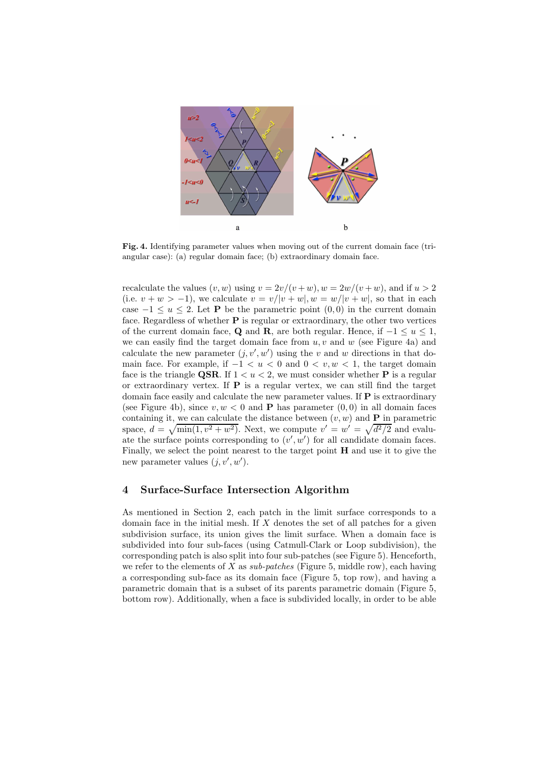

Fig. 4. Identifying parameter values when moving out of the current domain face (triangular case): (a) regular domain face; (b) extraordinary domain face.

recalculate the values  $(v, w)$  using  $v = 2v/(v + w)$ ,  $w = 2w/(v + w)$ , and if  $u > 2$ (i.e.  $v + w > -1$ ), we calculate  $v = v/|v + w|$ ,  $w = w/|v + w|$ , so that in each case  $-1 \le u \le 2$ . Let **P** be the parametric point  $(0,0)$  in the current domain face. Regardless of whether  $P$  is regular or extraordinary, the other two vertices of the current domain face, Q and R, are both regular. Hence, if  $-1 \le u \le 1$ , we can easily find the target domain face from  $u, v$  and  $w$  (see Figure 4a) and calculate the new parameter  $(j, v', w')$  using the v and w directions in that domain face. For example, if  $-1 < u < 0$  and  $0 < v, w < 1$ , the target domain face is the triangle **QSR**. If  $1 < u < 2$ , we must consider whether **P** is a regular or extraordinary vertex. If  $P$  is a regular vertex, we can still find the target domain face easily and calculate the new parameter values. If  $P$  is extraordinary (see Figure 4b), since  $v, w < 0$  and **P** has parameter  $(0, 0)$  in all domain faces containing it, we can calculate the distance between  $(v, w)$  and **P** in parametric space,  $d = \sqrt{\min(1, v^2 + w^2)}$ . Next, we compute  $v' = w' = \sqrt{d^2/2}$  and evaluate the surface points corresponding to  $(v', w')$  for all candidate domain faces. Finally, we select the point nearest to the target point H and use it to give the new parameter values  $(j, v', w')$ .

# 4 Surface-Surface Intersection Algorithm

As mentioned in Section 2, each patch in the limit surface corresponds to a domain face in the initial mesh. If  $X$  denotes the set of all patches for a given subdivision surface, its union gives the limit surface. When a domain face is subdivided into four sub-faces (using Catmull-Clark or Loop subdivision), the corresponding patch is also split into four sub-patches (see Figure 5). Henceforth, we refer to the elements of X as  $sub-patches$  (Figure 5, middle row), each having a corresponding sub-face as its domain face (Figure 5, top row), and having a parametric domain that is a subset of its parents parametric domain (Figure 5, bottom row). Additionally, when a face is subdivided locally, in order to be able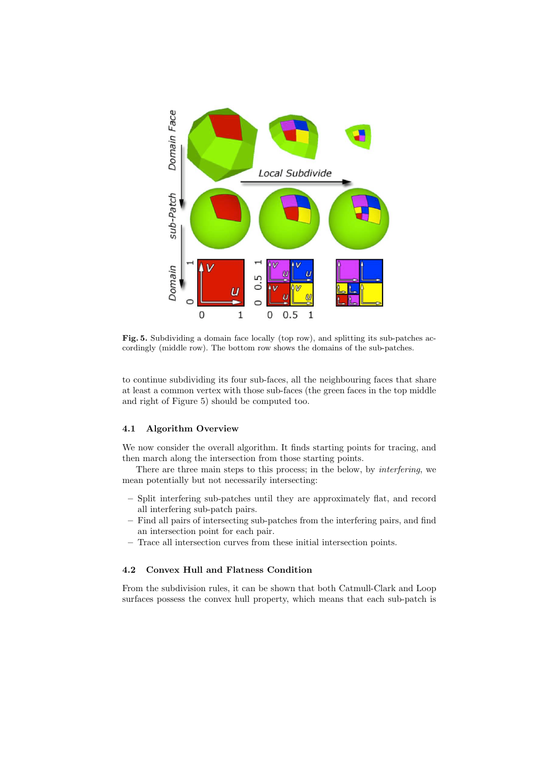

Fig. 5. Subdividing a domain face locally (top row), and splitting its sub-patches accordingly (middle row). The bottom row shows the domains of the sub-patches.

to continue subdividing its four sub-faces, all the neighbouring faces that share at least a common vertex with those sub-faces (the green faces in the top middle and right of Figure 5) should be computed too.

#### 4.1 Algorithm Overview

We now consider the overall algorithm. It finds starting points for tracing, and then march along the intersection from those starting points.

There are three main steps to this process; in the below, by interfering, we mean potentially but not necessarily intersecting:

- Split interfering sub-patches until they are approximately flat, and record all interfering sub-patch pairs.
- Find all pairs of intersecting sub-patches from the interfering pairs, and find an intersection point for each pair.
- Trace all intersection curves from these initial intersection points.

## 4.2 Convex Hull and Flatness Condition

From the subdivision rules, it can be shown that both Catmull-Clark and Loop surfaces possess the convex hull property, which means that each sub-patch is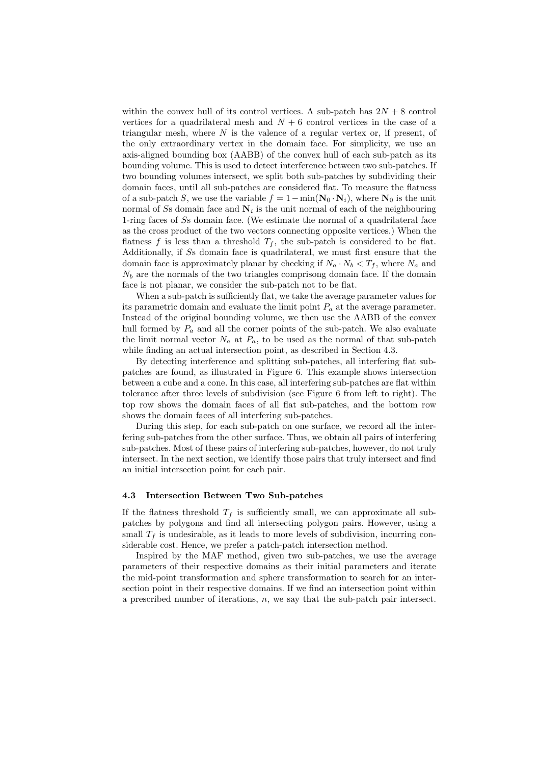within the convex hull of its control vertices. A sub-patch has  $2N + 8$  control vertices for a quadrilateral mesh and  $N + 6$  control vertices in the case of a triangular mesh, where  $N$  is the valence of a regular vertex or, if present, of the only extraordinary vertex in the domain face. For simplicity, we use an axis-aligned bounding box (AABB) of the convex hull of each sub-patch as its bounding volume. This is used to detect interference between two sub-patches. If two bounding volumes intersect, we split both sub-patches by subdividing their domain faces, until all sub-patches are considered flat. To measure the flatness of a sub-patch S, we use the variable  $f = 1 - \min(\mathbf{N}_0 \cdot \mathbf{N}_i)$ , where  $\mathbf{N}_0$  is the unit normal of Ss domain face and  $N_i$  is the unit normal of each of the neighbouring 1-ring faces of Ss domain face. (We estimate the normal of a quadrilateral face as the cross product of the two vectors connecting opposite vertices.) When the flatness f is less than a threshold  $T_f$ , the sub-patch is considered to be flat. Additionally, if Ss domain face is quadrilateral, we must first ensure that the domain face is approximately planar by checking if  $N_a \cdot N_b < T_f$ , where  $N_a$  and  $N_b$  are the normals of the two triangles comprisong domain face. If the domain face is not planar, we consider the sub-patch not to be flat.

When a sub-patch is sufficiently flat, we take the average parameter values for its parametric domain and evaluate the limit point  $P_a$  at the average parameter. Instead of the original bounding volume, we then use the AABB of the convex hull formed by  $P_a$  and all the corner points of the sub-patch. We also evaluate the limit normal vector  $N_a$  at  $P_a$ , to be used as the normal of that sub-patch while finding an actual intersection point, as described in Section 4.3.

By detecting interference and splitting sub-patches, all interfering flat subpatches are found, as illustrated in Figure 6. This example shows intersection between a cube and a cone. In this case, all interfering sub-patches are flat within tolerance after three levels of subdivision (see Figure 6 from left to right). The top row shows the domain faces of all flat sub-patches, and the bottom row shows the domain faces of all interfering sub-patches.

During this step, for each sub-patch on one surface, we record all the interfering sub-patches from the other surface. Thus, we obtain all pairs of interfering sub-patches. Most of these pairs of interfering sub-patches, however, do not truly intersect. In the next section, we identify those pairs that truly intersect and find an initial intersection point for each pair.

## 4.3 Intersection Between Two Sub-patches

If the flatness threshold  $T_f$  is sufficiently small, we can approximate all subpatches by polygons and find all intersecting polygon pairs. However, using a small  $T_f$  is undesirable, as it leads to more levels of subdivision, incurring considerable cost. Hence, we prefer a patch-patch intersection method.

Inspired by the MAF method, given two sub-patches, we use the average parameters of their respective domains as their initial parameters and iterate the mid-point transformation and sphere transformation to search for an intersection point in their respective domains. If we find an intersection point within a prescribed number of iterations,  $n$ , we say that the sub-patch pair intersect.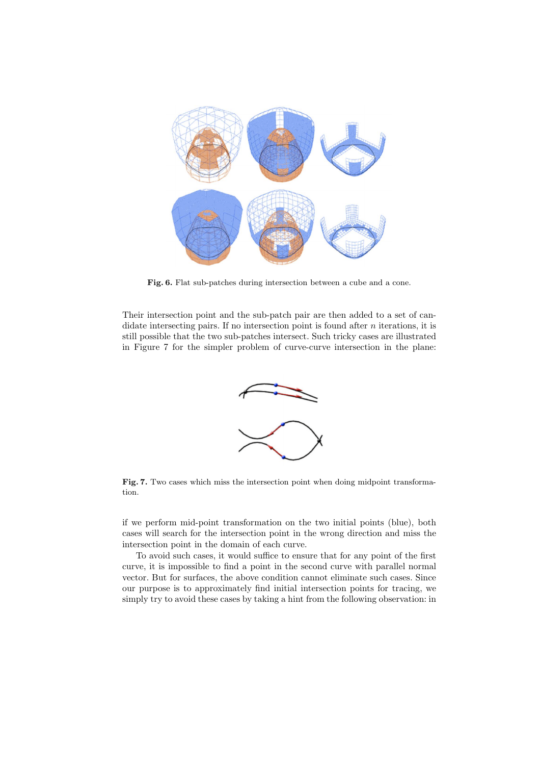

Fig. 6. Flat sub-patches during intersection between a cube and a cone.

Their intersection point and the sub-patch pair are then added to a set of candidate intersecting pairs. If no intersection point is found after  $n$  iterations, it is still possible that the two sub-patches intersect. Such tricky cases are illustrated in Figure 7 for the simpler problem of curve-curve intersection in the plane:



Fig. 7. Two cases which miss the intersection point when doing midpoint transformation.

if we perform mid-point transformation on the two initial points (blue), both cases will search for the intersection point in the wrong direction and miss the intersection point in the domain of each curve.

To avoid such cases, it would suffice to ensure that for any point of the first curve, it is impossible to find a point in the second curve with parallel normal vector. But for surfaces, the above condition cannot eliminate such cases. Since our purpose is to approximately find initial intersection points for tracing, we simply try to avoid these cases by taking a hint from the following observation: in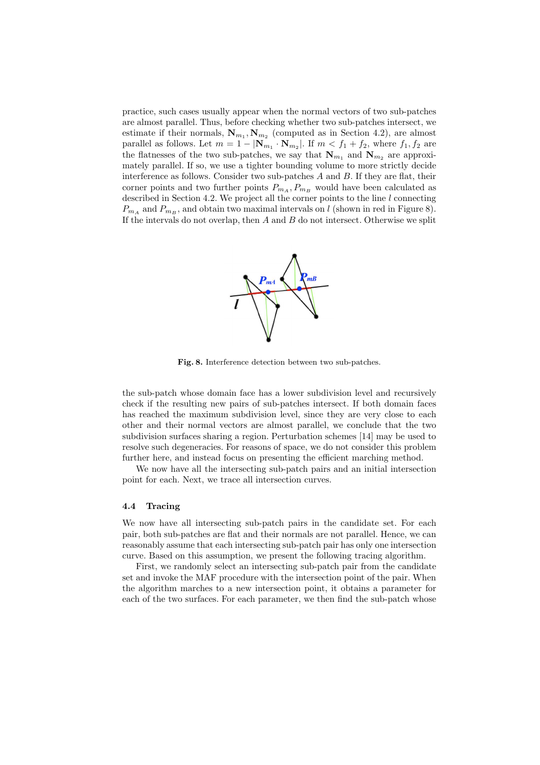practice, such cases usually appear when the normal vectors of two sub-patches are almost parallel. Thus, before checking whether two sub-patches intersect, we estimate if their normals,  $\mathbf{N}_{m_1}, \mathbf{N}_{m_2}$  (computed as in Section 4.2), are almost parallel as follows. Let  $m = 1 - |\mathbf{N}_{m_1} \cdot \mathbf{N}_{m_2}|$ . If  $m < f_1 + f_2$ , where  $f_1, f_2$  are the flatnesses of the two sub-patches, we say that  $N_{m_1}$  and  $N_{m_2}$  are approximately parallel. If so, we use a tighter bounding volume to more strictly decide interference as follows. Consider two sub-patches  $A$  and  $B$ . If they are flat, their corner points and two further points  $P_{m_A}, P_{m_B}$  would have been calculated as described in Section 4.2. We project all the corner points to the line l connecting  $P_{m_A}$  and  $P_{m_B}$ , and obtain two maximal intervals on l (shown in red in Figure 8). If the intervals do not overlap, then  $A$  and  $B$  do not intersect. Otherwise we split



Fig. 8. Interference detection between two sub-patches.

the sub-patch whose domain face has a lower subdivision level and recursively check if the resulting new pairs of sub-patches intersect. If both domain faces has reached the maximum subdivision level, since they are very close to each other and their normal vectors are almost parallel, we conclude that the two subdivision surfaces sharing a region. Perturbation schemes [14] may be used to resolve such degeneracies. For reasons of space, we do not consider this problem further here, and instead focus on presenting the efficient marching method.

We now have all the intersecting sub-patch pairs and an initial intersection point for each. Next, we trace all intersection curves.

# 4.4 Tracing

We now have all intersecting sub-patch pairs in the candidate set. For each pair, both sub-patches are flat and their normals are not parallel. Hence, we can reasonably assume that each intersecting sub-patch pair has only one intersection curve. Based on this assumption, we present the following tracing algorithm.

First, we randomly select an intersecting sub-patch pair from the candidate set and invoke the MAF procedure with the intersection point of the pair. When the algorithm marches to a new intersection point, it obtains a parameter for each of the two surfaces. For each parameter, we then find the sub-patch whose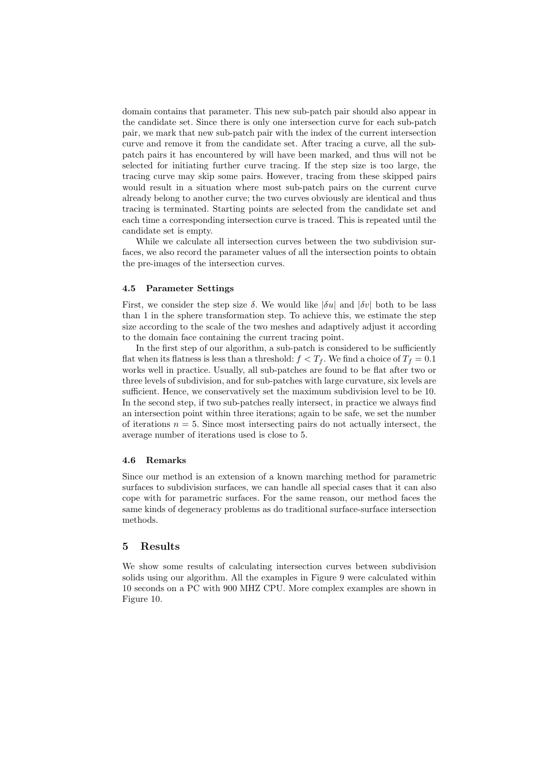domain contains that parameter. This new sub-patch pair should also appear in the candidate set. Since there is only one intersection curve for each sub-patch pair, we mark that new sub-patch pair with the index of the current intersection curve and remove it from the candidate set. After tracing a curve, all the subpatch pairs it has encountered by will have been marked, and thus will not be selected for initiating further curve tracing. If the step size is too large, the tracing curve may skip some pairs. However, tracing from these skipped pairs would result in a situation where most sub-patch pairs on the current curve already belong to another curve; the two curves obviously are identical and thus tracing is terminated. Starting points are selected from the candidate set and each time a corresponding intersection curve is traced. This is repeated until the candidate set is empty.

While we calculate all intersection curves between the two subdivision surfaces, we also record the parameter values of all the intersection points to obtain the pre-images of the intersection curves.

### 4.5 Parameter Settings

First, we consider the step size  $\delta$ . We would like  $|\delta u|$  and  $|\delta v|$  both to be lass than 1 in the sphere transformation step. To achieve this, we estimate the step size according to the scale of the two meshes and adaptively adjust it according to the domain face containing the current tracing point.

In the first step of our algorithm, a sub-patch is considered to be sufficiently flat when its flatness is less than a threshold:  $f < T_f$ . We find a choice of  $T_f = 0.1$ works well in practice. Usually, all sub-patches are found to be flat after two or three levels of subdivision, and for sub-patches with large curvature, six levels are sufficient. Hence, we conservatively set the maximum subdivision level to be 10. In the second step, if two sub-patches really intersect, in practice we always find an intersection point within three iterations; again to be safe, we set the number of iterations  $n = 5$ . Since most intersecting pairs do not actually intersect, the average number of iterations used is close to 5.

#### 4.6 Remarks

Since our method is an extension of a known marching method for parametric surfaces to subdivision surfaces, we can handle all special cases that it can also cope with for parametric surfaces. For the same reason, our method faces the same kinds of degeneracy problems as do traditional surface-surface intersection methods.

# 5 Results

We show some results of calculating intersection curves between subdivision solids using our algorithm. All the examples in Figure 9 were calculated within 10 seconds on a PC with 900 MHZ CPU. More complex examples are shown in Figure 10.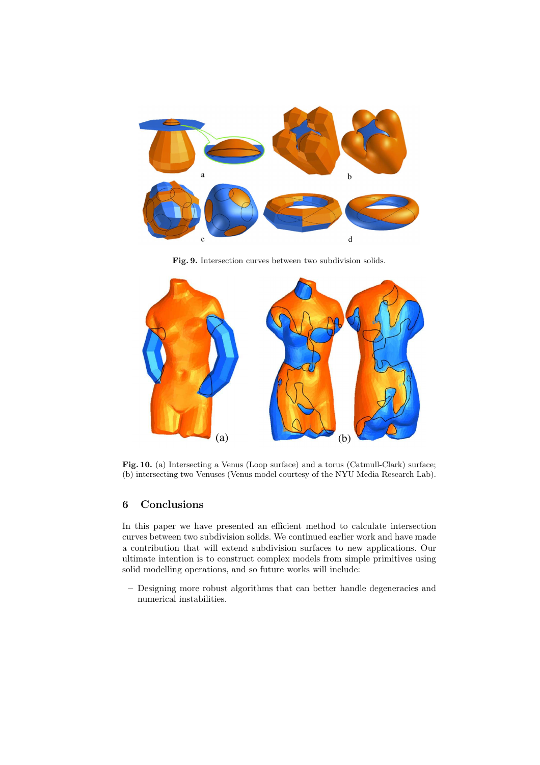

Fig. 9. Intersection curves between two subdivision solids.



Fig. 10. (a) Intersecting a Venus (Loop surface) and a torus (Catmull-Clark) surface; (b) intersecting two Venuses (Venus model courtesy of the NYU Media Research Lab).

# 6 Conclusions

In this paper we have presented an efficient method to calculate intersection curves between two subdivision solids. We continued earlier work and have made a contribution that will extend subdivision surfaces to new applications. Our ultimate intention is to construct complex models from simple primitives using solid modelling operations, and so future works will include:

– Designing more robust algorithms that can better handle degeneracies and numerical instabilities.